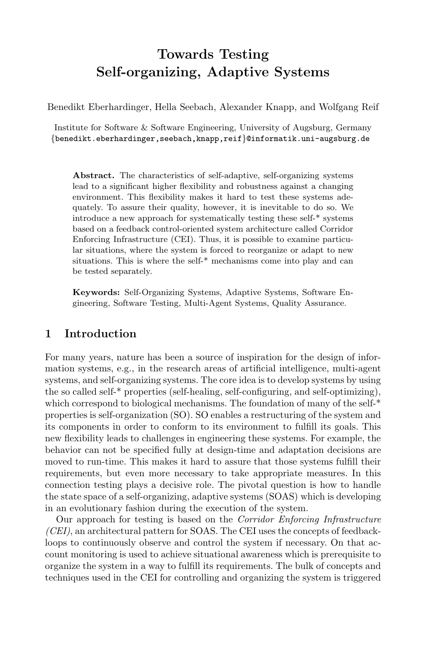# **Towards Testing Self-organizing, Adaptive Systems**

Benedikt Eberhardinger, Hella Seebach, Alexander Knapp, and Wolfgang Reif

Institute for Software & Software Engineering, University of Augsburg, Germany {benedikt.eberhardinger,seebach,knapp,reif}@informatik.uni-augsburg.de

**Abstract.** The characteristics of self-adaptive, self-organizing systems lead to a significant higher flexibility and robustness against a changing environment. This flexibility makes it hard to test these systems adequately. To assure their quality, however, it is inevitable to do so. We introduce a new approach for systematically testing these self-\* systems based on a feedback control-oriented system architecture called Corridor Enforcing Infrastructure (CEI). Thus, it is possible to examine particular situations, where the system is forced to reorganize or adapt to new situations. This is where the self-\* mechanisms come into play and can be tested separately.

**Keywords:** Self-Organizing Systems, Adaptive Systems, Software Engineering, Software Testing, Multi-Agent Systems, Quality Assurance.

## **1 Introduction**

For many years, nature has been a source of inspiration for the design of information systems, e.g., in the research areas of artificial intelligence, multi-agent systems, and self-organizing systems. The core idea is to develop systems by using the so called self-\* properties (self-healing, self-configuring, and self-optimizing), which correspond to biological mechanisms. The foundation of many of the self-\* properties is self-organization (SO). SO enables a restructuring of the system and its components in order to conform to its environment to fulfill its goals. This new flexibility leads to challenges in engineering these systems. For example, the behavior can not be specified fully at design-time and adaptation decisions are moved to run-time. This makes it hard to assure that those systems fulfill their requirements, but even more necessary to take appropriate measures. In this connection testing plays a decisive role. The pivotal question is how to handle the state space of a self-organizing, adaptive systems (SOAS) which is developing in an evolutionary fashion during the execution of the system.

Our approach for testing is based on the Corridor Enforcing Infrastructure (CEI), an architectural pattern for SOAS. The CEI uses the concepts of feedbackloops to continuously observe and control the system if necessary. On that account monitoring is used to achieve situational awareness which is prerequisite to organize the system in a way to fulfill its requirements. The bulk of concepts and techniques used in the CEI for controlling and organizing the system is triggered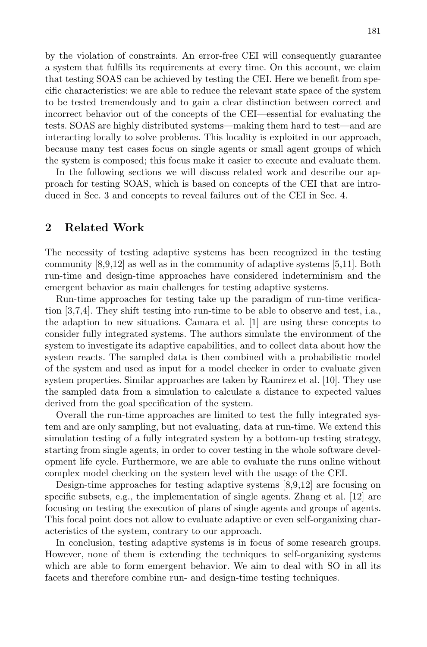by the violation of constraints. An error-free CEI will consequently guarantee a system that fulfills its requirements at every time. On this account, we claim that testing SOAS can be achieved by testing the CEI. Here we benefit from specific characteristics: we are able to reduce the relevant state space of the system to be tested tremendously and to gain a clear dist[inc](#page-3-0)tion between correct and incorrect behavior out of the concepts of the CEI—essential for evaluating the tests. SOAS are highly distributed systems—making them hard to test—and are interacting locally to solve problems. This locality is exploited in our approach, because many test cases focus on single agents or small agent groups of which the system is composed; this focus make it easier to execute and evaluate them.

In the following sections we will discuss relate[d](#page-5-1) [wo](#page-5-2)rk and describe our ap[p](#page-5-0)roach for testing SOAS, which is based on concepts of the CEI that are introduced in Sec. 3 and concepts to reveal failures out of the CEI in Sec. 4.

## **2 Related Work**

The necessity of testing adaptive systems has been recognized in the testing community [8,9,12] as well as in the community of adaptive systems [5,11]. Both run-time and design-time approaches have considered indeterminism and the emergent behavior as main challenges for testing [ad](#page-5-3)aptive systems.

Run-time approaches for testing take up the paradigm of run-time verification [3,7,4]. They shift testing into run-time to be able to observe and test, i.a., the adaption to new situations. Camara et al. [1] are using these concepts to consider fully integrated systems. The authors simulate the environment of the system to investigate its adaptive capabilities, and to collect data about how the system reacts. The sampled data is then combined with a probabilistic model of the system and used as input for a model checker in order to evaluate given system properties. Similar approaches are taken by Ramirez et al. [10]. They use the sampled data from a simulation t[o](#page-5-4) [ca](#page-5-5)[lcu](#page-5-0)late a distance to expected values derived from the goal specification of the system.

Overall the run-time approaches are limited to test [th](#page-5-0)e fully integrated system and are only sampling, but not evaluating, data at run-time. We extend this simulation testing of a fully integrated system by a bottom-up testing strategy, starting from single agents, in order to cover testing in the whole software development life cycle. Furthermore, we are able to evaluate the runs online without complex model checking on the system level with the usage of the CEI.

Design-time approaches for testing adaptive systems [8,9,12] are focusing on specific subsets, e.g., the implementation of single agents. Zhang et al. [12] are focusing on testing the execution of plans of single agents and groups of agents. This focal point does not allow to evaluate adaptive or even self-organizing characteristics of the system, contrary to our approach.

In conclusion, testing adaptive systems is in focus of some research groups. However, none of them is extending the techniques to self-organizing systems which are able to form emergent behavior. We aim to deal with SO in all its facets and therefore combine run- and design-time testing techniques.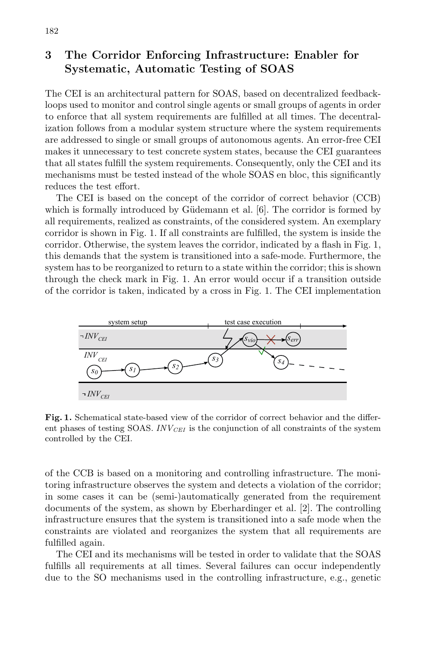# **3 The Corridor Enforcing Infrastructure: Enabler for Systematic, Automatic Testing of SOAS**

The CEI is an architectural pattern for SOAS, based on decentralized feedbackloops used to monitor and control single agents or small groups of agents in order to enforce that all system requi[rem](#page-5-6)ents are fulfilled at all times. The decentralization follows from a modular system structure where the system requirements are ad[dr](#page-2-0)essed to single or small groups of autonomous agents. An error-free CEI makes it unnecessary to test concrete system states, because [t](#page-2-0)he CEI guarantees that all states fulfill the system requirements. Consequently, only the CEI and its mechanisms must be tested instead of the whole SOAS en bloc, this significantly reduces the te[st](#page-2-0) effort.

The CEI is based on the conc[ep](#page-2-0)t of the corridor of correct behavior (CCB) which is formally introduced by Güdemann et al.  $[6]$ . The corridor is formed by all requirements, realized as constraints, of the considered system. An exemplary corridor is shown in Fig. 1. If all constraints are fulfilled, the system is inside the corridor. Otherwise, the system leaves the corridor, indicated by a flash in Fig. 1, this demands that the system is transitioned into a safe-mode. Furthermore, the system has to be reorganized to return to a state within the corridor; this is shown through the check mark in Fig. 1. An error would occur if a transition outside of the corridor is taken, indicated by a cross in Fig. 1. The CEI implementation

<span id="page-2-0"></span>

**Fig. 1.** Schematical state-based view of the co[rri](#page-5-7)dor of correct behavior and the different phases of testing SOAS. *INVCEI* is the conjunction of all constraints of the system controlled by the CEI.

of the CCB is based on a monitoring and controlling infrastructure. The monitoring infrastructure observes the system and detects a violation of the corridor; in some cases it can be (semi-)automatically generated from the requirement documents of the system, as shown by Eberhardinger et al. [2]. The controlling infrastructure ensures that the system is transitioned into a safe mode when the constraints are violated and reorganizes the system that all requirements are fulfilled again.

The CEI and its mechanisms will be tested in order to validate that the SOAS fulfills all requirements at all times. Several failures can occur independently due to the SO mechanisms used in the controlling infrastructure, e.g., genetic

182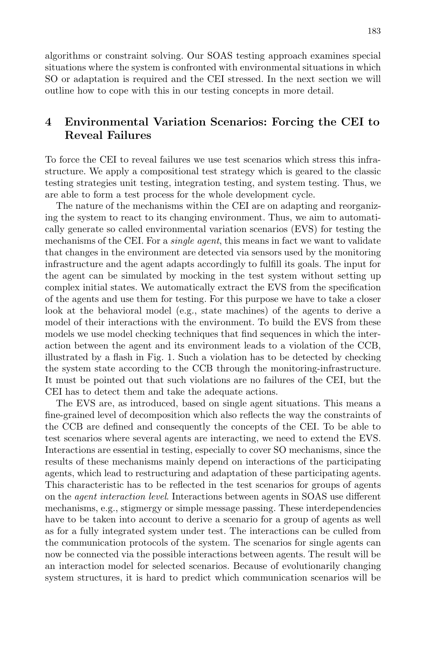<span id="page-3-0"></span>algorithms or constraint solving. Our SOAS testing approach examines special situations where the system is confronted with environmental situations in which SO or adaptation is required and the CEI stressed. In the next section we will outline how to cope with this in our testing concepts in more detail.

## **4 Environmental Variation Scenarios: Forcing the CEI to Reveal Failures**

To force the CEI to reveal failures we use test scenarios which stress this infrastructure. We apply a compositional test strategy which is geared to the classic testing strategies unit testing, integration testing, and system testing. Thus, we are able to form a test process for the whole development cycle.

The nature of the mechanisms within the CEI are on adapting and reorganizing the system to react to its changing environment. Thus, we aim to automatically generate so called environmental variation scenarios (EVS) for testing the mechanisms of the CEI. For a single agent, this means in fact we want to validate that changes in the environment are detected via sensors used by the monitoring infrastruct[ur](#page-2-0)e and the agent adapts accordingly to fulfill its goals. The input for the agent can be simulated by mocking in the test system without setting up complex initial states. We automatically extract the EVS from the specification of the agents and use them for testing. For this purpose we have to take a closer look at the behavioral model (e.g., state machines) of the agents to derive a model of their interactions with the environment. To build the EVS from these models we use model checking techniques that find sequences in which the interaction between the agent and its environment leads to a violation of the CCB, illustrated by a flash in Fig. 1. Such a violation has to be detected by checking the system state according to the CCB through the monitoring-infrastructure. It must be pointed out that such violations are no failures of the CEI, but the CEI has to detect them and take the adequate actions.

The EVS are, as introduced, based on single agent situations. This means a fine-grained level of decomposition which also reflects the way the constraints of the CCB are defined and consequently the concepts of the CEI. To be able to test scenarios where several agents are interacting, we need to extend the EVS. Interactions are essential in testing, especially to cover SO mechanisms, since the results of these mechanisms mainly depend on interactions of the participating agents, which lead to restructuring and adaptation of these participating agents. This characteristic has to be reflected in the test scenarios for groups of agents on the agent interaction level. Interactions between agents in SOAS use different mechanisms, e.g., stigmergy or simple message passing. These interdependencies have to be taken into account to derive a scenario for a group of agents as well as for a fully integrated system under test. The interactions can be culled from the communication protocols of the system. The scenarios for single agents can now be connected via the possible interactions between agents. The result will be an interaction model for selected scenarios. Because of evolutionarily changing system structures, it is hard to predict which communication scenarios will be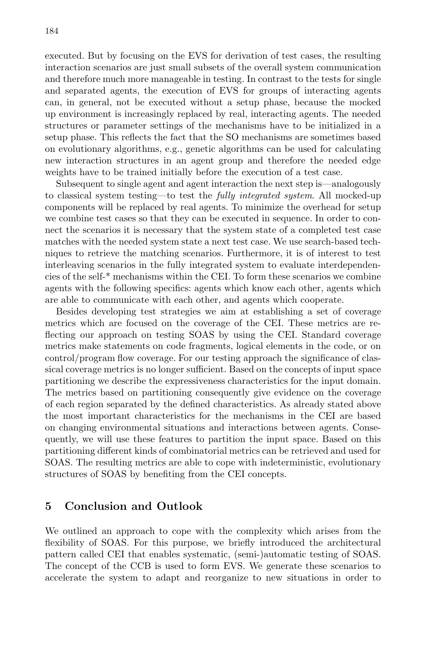executed. But by focusing on the EVS for derivation of test cases, the resulting interaction scenarios are just small subsets of the overall system communication and therefore much more manageable in testing. In contrast to the tests for single and separated agents, the execution of EVS for groups of interacting agents can, in general, not be executed without a setup phase, because the mocked up environment is increasingly replaced by real, interacting agents. The needed structures or parameter settings of the mechanisms have to be initialized in a setup phase. This reflects the fact that the SO mechanisms are sometimes based on evolutionary algorithms, e.g., genetic algorithms can be used for calculating new interaction structures in an agent group and therefore the needed edge weights have to be trained initially before the execution of a test case.

Subsequent to single agent and agent interaction the next step is—analogously to classical system testing—to test the fully integrated system. All mocked-up components will be replaced by real agents. To minimize the overhead for setup we combine test cases so that they can be executed in sequence. In order to connect the scenarios it is necessary that the system state of a completed test case matches with the needed system state a next test case. We use search-based techniques to retrieve the matching scenarios. Furthermore, it is of interest to test interleaving scenarios in the fully integrated system to evaluate interdependencies of the self-\* mechanisms within the CEI. To form these scenarios we combine agents with the following specifics: agents which know each other, agents which are able to communicate with each other, and agents which cooperate.

Besides developing test strategies we aim at establishing a set of coverage metrics which are focused on the coverage of the CEI. These metrics are reflecting our approach on testing SOAS by using the CEI. Standard coverage metrics make statements on code fragments, logical elements in the code, or on control/program flow coverage. For our testing approach the significance of classical coverage metrics is no longer sufficient. Based on the concepts of input space partitioning we describe the expressiveness characteristics for the input domain. The metrics based on partitioning consequently give evidence on the coverage of each region separated by the defined characteristics. As already stated above the most important characteristics for the mechanisms in the CEI are based on changing environmental situations and interactions between agents. Consequently, we will use these features to partition the input space. Based on this partitioning different kinds of combinatorial metrics can be retrieved and used for SOAS. The resulting metrics are able to cope with indeterministic, evolutionary structures of SOAS by benefiting from the CEI concepts.

#### **5 Conclusion and Outlook**

We outlined an approach to cope with the complexity which arises from the flexibility of SOAS. For this purpose, we briefly introduced the architectural pattern called CEI that enables systematic, (semi-)automatic testing of SOAS. The concept of the CCB is used to form EVS. We generate these scenarios to accelerate the system to adapt and reorganize to new situations in order to